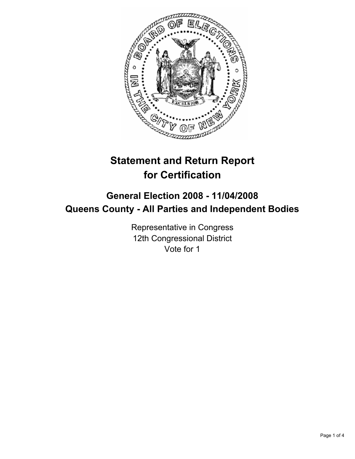

# **Statement and Return Report for Certification**

## **General Election 2008 - 11/04/2008 Queens County - All Parties and Independent Bodies**

Representative in Congress 12th Congressional District Vote for 1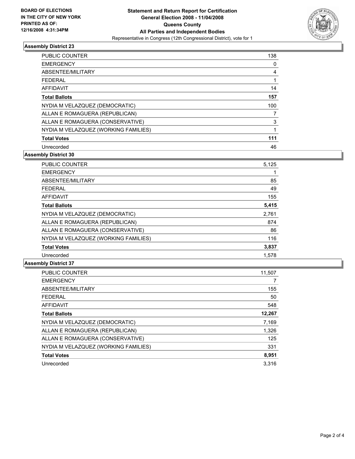

### **Assembly District 23**

| <b>PUBLIC COUNTER</b>                | 138 |
|--------------------------------------|-----|
| <b>EMERGENCY</b>                     |     |
| ABSENTEE/MILITARY                    |     |
| <b>FEDERAL</b>                       |     |
| AFFIDAVIT                            | 14  |
| <b>Total Ballots</b>                 | 157 |
| NYDIA M VELAZQUEZ (DEMOCRATIC)       | 100 |
| ALLAN E ROMAGUERA (REPUBLICAN)       |     |
| ALLAN E ROMAGUERA (CONSERVATIVE)     | 3   |
| NYDIA M VELAZQUEZ (WORKING FAMILIES) |     |
| <b>Total Votes</b>                   | 111 |
| Unrecorded                           | 46  |

**Assembly District 30**

| <b>PUBLIC COUNTER</b>                | 5,125 |
|--------------------------------------|-------|
| <b>EMERGENCY</b>                     |       |
| ABSENTEE/MILITARY                    | 85    |
| <b>FEDERAL</b>                       | 49    |
| <b>AFFIDAVIT</b>                     | 155   |
| <b>Total Ballots</b>                 | 5,415 |
| NYDIA M VELAZQUEZ (DEMOCRATIC)       | 2,761 |
| ALLAN E ROMAGUERA (REPUBLICAN)       | 874   |
| ALLAN E ROMAGUERA (CONSERVATIVE)     | 86    |
| NYDIA M VELAZQUEZ (WORKING FAMILIES) | 116   |
| <b>Total Votes</b>                   | 3,837 |
| Unrecorded                           | 1,578 |

#### **Assembly District 37**

| <b>PUBLIC COUNTER</b>                | 11,507 |
|--------------------------------------|--------|
| <b>EMERGENCY</b>                     |        |
| ABSENTEE/MILITARY                    | 155    |
| <b>FEDERAL</b>                       | 50     |
| <b>AFFIDAVIT</b>                     | 548    |
| <b>Total Ballots</b>                 | 12,267 |
| NYDIA M VELAZQUEZ (DEMOCRATIC)       | 7,169  |
| ALLAN E ROMAGUERA (REPUBLICAN)       | 1,326  |
| ALLAN E ROMAGUERA (CONSERVATIVE)     | 125    |
| NYDIA M VELAZQUEZ (WORKING FAMILIES) | 331    |
| <b>Total Votes</b>                   | 8,951  |
| Unrecorded                           | 3.316  |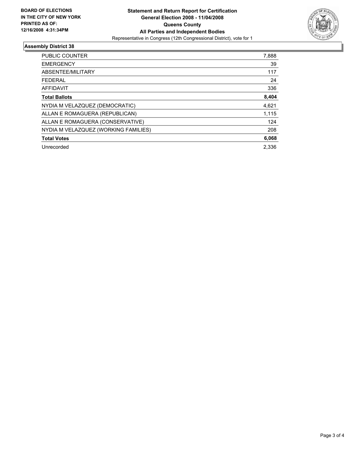

### **Assembly District 38**

| PUBLIC COUNTER                       | 7,888 |
|--------------------------------------|-------|
| <b>EMERGENCY</b>                     | 39    |
| ABSENTEE/MILITARY                    | 117   |
| <b>FEDERAL</b>                       | 24    |
| AFFIDAVIT                            | 336   |
| <b>Total Ballots</b>                 | 8,404 |
| NYDIA M VELAZQUEZ (DEMOCRATIC)       | 4,621 |
| ALLAN E ROMAGUERA (REPUBLICAN)       | 1,115 |
| ALLAN E ROMAGUERA (CONSERVATIVE)     | 124   |
| NYDIA M VELAZQUEZ (WORKING FAMILIES) | 208   |
| <b>Total Votes</b>                   | 6,068 |
| Unrecorded                           | 2.336 |